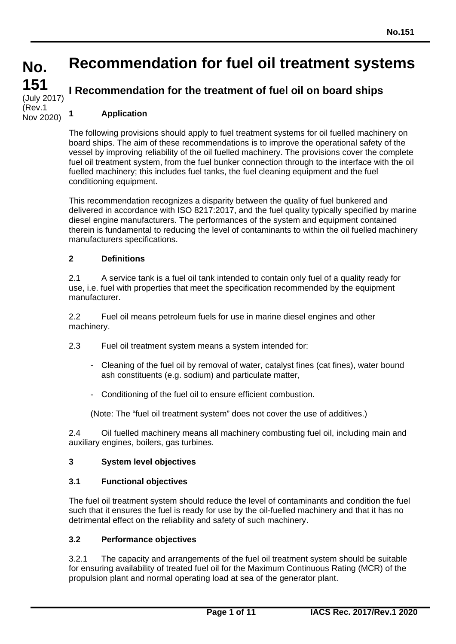# **Recommendation for fuel oil treatment systems**

# **I Recommendation for the treatment of fuel oil on board ships**

# **1 Application**

**No.**

**151**

(July 2017) (Rev.1 Nov 2020)

> The following provisions should apply to fuel treatment systems for oil fuelled machinery on board ships. The aim of these recommendations is to improve the operational safety of the vessel by improving reliability of the oil fuelled machinery. The provisions cover the complete fuel oil treatment system, from the fuel bunker connection through to the interface with the oil fuelled machinery; this includes fuel tanks, the fuel cleaning equipment and the fuel conditioning equipment.

> This recommendation recognizes a disparity between the quality of fuel bunkered and delivered in accordance with ISO 8217:2017, and the fuel quality typically specified by marine diesel engine manufacturers. The performances of the system and equipment contained therein is fundamental to reducing the level of contaminants to within the oil fuelled machinery manufacturers specifications.

# **2 Definitions**

2.1 A service tank is a fuel oil tank intended to contain only fuel of a quality ready for use, i.e. fuel with properties that meet the specification recommended by the equipment manufacturer.

2.2 Fuel oil means petroleum fuels for use in marine diesel engines and other machinery.

- 2.3 Fuel oil treatment system means a system intended for:
	- Cleaning of the fuel oil by removal of water, catalyst fines (cat fines), water bound ash constituents (e.g. sodium) and particulate matter,
	- Conditioning of the fuel oil to ensure efficient combustion.

(Note: The "fuel oil treatment system" does not cover the use of additives.)

2.4 Oil fuelled machinery means all machinery combusting fuel oil, including main and auxiliary engines, boilers, gas turbines.

# **3 System level objectives**

#### **3.1 Functional objectives**

The fuel oil treatment system should reduce the level of contaminants and condition the fuel such that it ensures the fuel is ready for use by the oil-fuelled machinery and that it has no detrimental effect on the reliability and safety of such machinery.

## **3.2 Performance objectives**

3.2.1 The capacity and arrangements of the fuel oil treatment system should be suitable for ensuring availability of treated fuel oil for the Maximum Continuous Rating (MCR) of the propulsion plant and normal operating load at sea of the generator plant.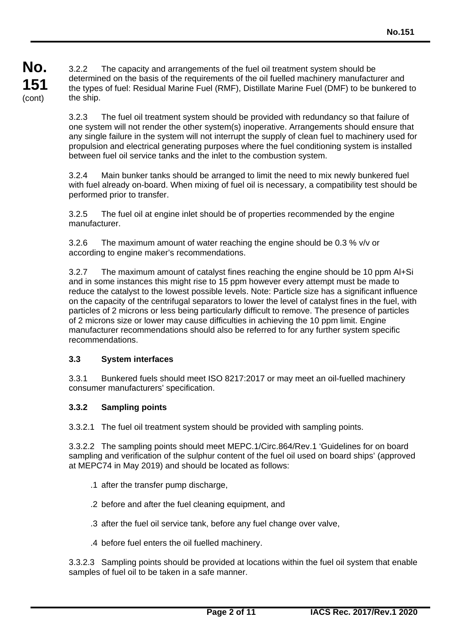3.2.2 The capacity and arrangements of the fuel oil treatment system should be determined on the basis of the requirements of the oil fuelled machinery manufacturer and the types of fuel: Residual Marine Fuel (RMF), Distillate Marine Fuel (DMF) to be bunkered to the ship.

3.2.3 The fuel oil treatment system should be provided with redundancy so that failure of one system will not render the other system(s) inoperative. Arrangements should ensure that any single failure in the system will not interrupt the supply of clean fuel to machinery used for propulsion and electrical generating purposes where the fuel conditioning system is installed between fuel oil service tanks and the inlet to the combustion system.

3.2.4 Main bunker tanks should be arranged to limit the need to mix newly bunkered fuel with fuel already on-board. When mixing of fuel oil is necessary, a compatibility test should be performed prior to transfer.

3.2.5 The fuel oil at engine inlet should be of properties recommended by the engine manufacturer.

3.2.6 The maximum amount of water reaching the engine should be 0.3 % v/v or according to engine maker's recommendations.

3.2.7 The maximum amount of catalyst fines reaching the engine should be 10 ppm Al+Si and in some instances this might rise to 15 ppm however every attempt must be made to reduce the catalyst to the lowest possible levels. Note: Particle size has a significant influence on the capacity of the centrifugal separators to lower the level of catalyst fines in the fuel, with particles of 2 microns or less being particularly difficult to remove. The presence of particles of 2 microns size or lower may cause difficulties in achieving the 10 ppm limit. Engine manufacturer recommendations should also be referred to for any further system specific recommendations.

# **3.3 System interfaces**

3.3.1 Bunkered fuels should meet ISO 8217:2017 or may meet an oil-fuelled machinery consumer manufacturers' specification.

# **3.3.2 Sampling points**

3.3.2.1 The fuel oil treatment system should be provided with sampling points.

3.3.2.2 The sampling points should meet MEPC.1/Circ.864/Rev.1 'Guidelines for on board sampling and verification of the sulphur content of the fuel oil used on board ships' (approved at MEPC74 in May 2019) and should be located as follows:

- .1 after the transfer pump discharge,
- .2 before and after the fuel cleaning equipment, and
- .3 after the fuel oil service tank, before any fuel change over valve,
- .4 before fuel enters the oil fuelled machinery.

3.3.2.3 Sampling points should be provided at locations within the fuel oil system that enable samples of fuel oil to be taken in a safe manner.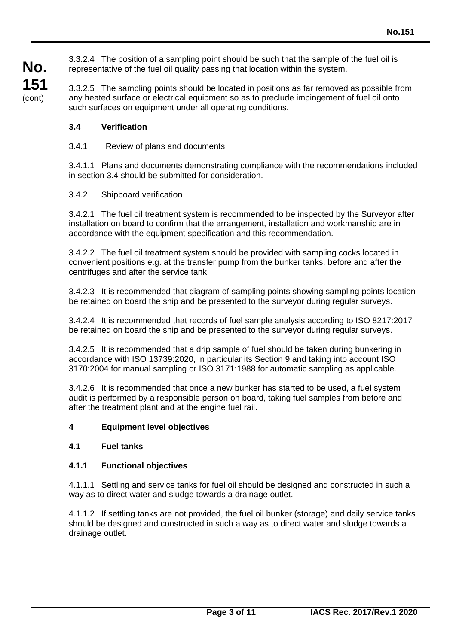3.3.2.4 The position of a sampling point should be such that the sample of the fuel oil is representative of the fuel oil quality passing that location within the system.

3.3.2.5 The sampling points should be located in positions as far removed as possible from any heated surface or electrical equipment so as to preclude impingement of fuel oil onto such surfaces on equipment under all operating conditions.

# **3.4 Verification**

**No.**

**151** (cont)

# 3.4.1 Review of plans and documents

3.4.1.1 Plans and documents demonstrating compliance with the recommendations included in section 3.4 should be submitted for consideration.

### 3.4.2 Shipboard verification

3.4.2.1 The fuel oil treatment system is recommended to be inspected by the Surveyor after installation on board to confirm that the arrangement, installation and workmanship are in accordance with the equipment specification and this recommendation.

3.4.2.2 The fuel oil treatment system should be provided with sampling cocks located in convenient positions e.g. at the transfer pump from the bunker tanks, before and after the centrifuges and after the service tank.

3.4.2.3 It is recommended that diagram of sampling points showing sampling points location be retained on board the ship and be presented to the surveyor during regular surveys.

3.4.2.4 It is recommended that records of fuel sample analysis according to ISO 8217:2017 be retained on board the ship and be presented to the surveyor during regular surveys.

3.4.2.5 It is recommended that a drip sample of fuel should be taken during bunkering in accordance with ISO 13739:2020, in particular its Section 9 and taking into account ISO 3170:2004 for manual sampling or ISO 3171:1988 for automatic sampling as applicable.

3.4.2.6 It is recommended that once a new bunker has started to be used, a fuel system audit is performed by a responsible person on board, taking fuel samples from before and after the treatment plant and at the engine fuel rail.

#### **4 Equipment level objectives**

#### **4.1 Fuel tanks**

#### **4.1.1 Functional objectives**

4.1.1.1 Settling and service tanks for fuel oil should be designed and constructed in such a way as to direct water and sludge towards a drainage outlet.

4.1.1.2 If settling tanks are not provided, the fuel oil bunker (storage) and daily service tanks should be designed and constructed in such a way as to direct water and sludge towards a drainage outlet.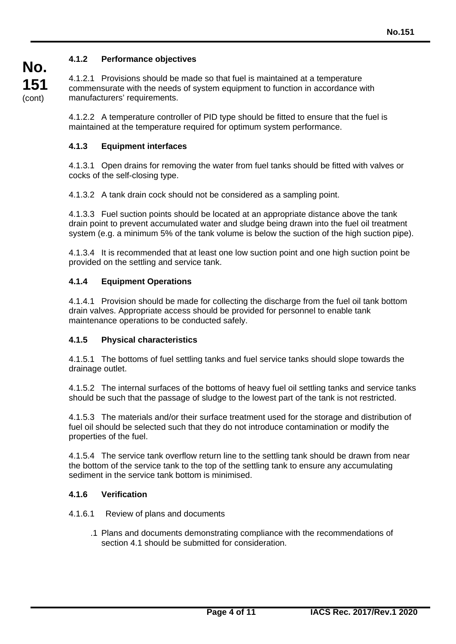# **4.1.2 Performance objectives**

4.1.2.1 Provisions should be made so that fuel is maintained at a temperature commensurate with the needs of system equipment to function in accordance with manufacturers' requirements.

4.1.2.2 A temperature controller of PID type should be fitted to ensure that the fuel is maintained at the temperature required for optimum system performance.

### **4.1.3 Equipment interfaces**

4.1.3.1 Open drains for removing the water from fuel tanks should be fitted with valves or cocks of the self-closing type.

4.1.3.2 A tank drain cock should not be considered as a sampling point.

4.1.3.3 Fuel suction points should be located at an appropriate distance above the tank drain point to prevent accumulated water and sludge being drawn into the fuel oil treatment system (e.g. a minimum 5% of the tank volume is below the suction of the high suction pipe).

4.1.3.4 It is recommended that at least one low suction point and one high suction point be provided on the settling and service tank.

#### **4.1.4 Equipment Operations**

4.1.4.1 Provision should be made for collecting the discharge from the fuel oil tank bottom drain valves. Appropriate access should be provided for personnel to enable tank maintenance operations to be conducted safely.

#### **4.1.5 Physical characteristics**

4.1.5.1 The bottoms of fuel settling tanks and fuel service tanks should slope towards the drainage outlet.

4.1.5.2 The internal surfaces of the bottoms of heavy fuel oil settling tanks and service tanks should be such that the passage of sludge to the lowest part of the tank is not restricted.

4.1.5.3 The materials and/or their surface treatment used for the storage and distribution of fuel oil should be selected such that they do not introduce contamination or modify the properties of the fuel.

4.1.5.4 The service tank overflow return line to the settling tank should be drawn from near the bottom of the service tank to the top of the settling tank to ensure any accumulating sediment in the service tank bottom is minimised.

#### **4.1.6 Verification**

#### 4.1.6.1 Review of plans and documents

.1 Plans and documents demonstrating compliance with the recommendations of section 4.1 should be submitted for consideration.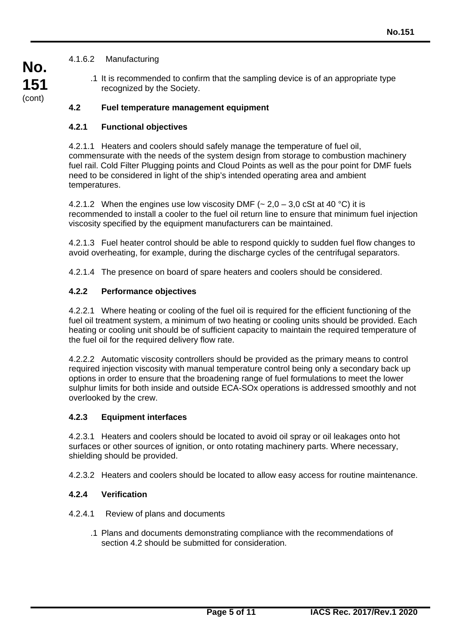# 4.1.6.2 Manufacturing

.1 It is recommended to confirm that the sampling device is of an appropriate type recognized by the Society.

# **4.2 Fuel temperature management equipment**

### **4.2.1 Functional objectives**

4.2.1.1 Heaters and coolers should safely manage the temperature of fuel oil, commensurate with the needs of the system design from storage to combustion machinery fuel rail. Cold Filter Plugging points and Cloud Points as well as the pour point for DMF fuels need to be considered in light of the ship's intended operating area and ambient temperatures.

4.2.1.2 When the engines use low viscosity DMF ( $\sim$  2,0 – 3,0 cSt at 40 °C) it is recommended to install a cooler to the fuel oil return line to ensure that minimum fuel injection viscosity specified by the equipment manufacturers can be maintained.

4.2.1.3 Fuel heater control should be able to respond quickly to sudden fuel flow changes to avoid overheating, for example, during the discharge cycles of the centrifugal separators.

4.2.1.4 The presence on board of spare heaters and coolers should be considered.

### **4.2.2 Performance objectives**

4.2.2.1 Where heating or cooling of the fuel oil is required for the efficient functioning of the fuel oil treatment system, a minimum of two heating or cooling units should be provided. Each heating or cooling unit should be of sufficient capacity to maintain the required temperature of the fuel oil for the required delivery flow rate.

4.2.2.2 Automatic viscosity controllers should be provided as the primary means to control required injection viscosity with manual temperature control being only a secondary back up options in order to ensure that the broadening range of fuel formulations to meet the lower sulphur limits for both inside and outside ECA-SOx operations is addressed smoothly and not overlooked by the crew.

#### **4.2.3 Equipment interfaces**

4.2.3.1 Heaters and coolers should be located to avoid oil spray or oil leakages onto hot surfaces or other sources of ignition, or onto rotating machinery parts. Where necessary, shielding should be provided.

4.2.3.2 Heaters and coolers should be located to allow easy access for routine maintenance.

#### **4.2.4 Verification**

- 4.2.4.1 Review of plans and documents
	- .1 Plans and documents demonstrating compliance with the recommendations of section 4.2 should be submitted for consideration.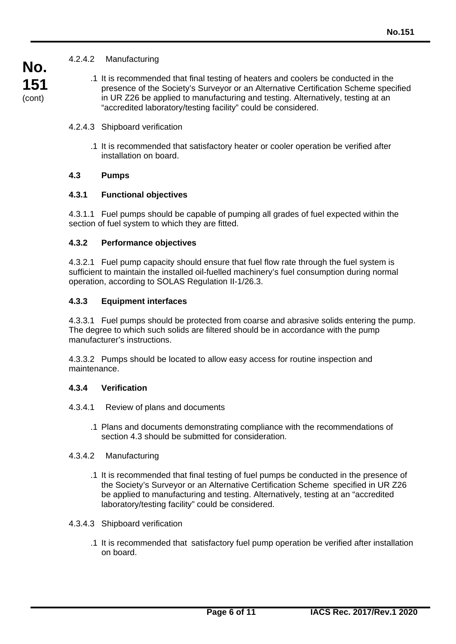# 4.2.4.2 Manufacturing

.1 It is recommended that final testing of heaters and coolers be conducted in the presence of the Society's Surveyor or an Alternative Certification Scheme specified in UR Z26 be applied to manufacturing and testing. Alternatively, testing at an "accredited laboratory/testing facility" could be considered.

#### 4.2.4.3 Shipboard verification

.1 It is recommended that satisfactory heater or cooler operation be verified after installation on board.

# **4.3 Pumps**

### **4.3.1 Functional objectives**

4.3.1.1 Fuel pumps should be capable of pumping all grades of fuel expected within the section of fuel system to which they are fitted.

### **4.3.2 Performance objectives**

4.3.2.1 Fuel pump capacity should ensure that fuel flow rate through the fuel system is sufficient to maintain the installed oil-fuelled machinery's fuel consumption during normal operation, according to SOLAS Regulation II-1/26.3.

### **4.3.3 Equipment interfaces**

4.3.3.1 Fuel pumps should be protected from coarse and abrasive solids entering the pump. The degree to which such solids are filtered should be in accordance with the pump manufacturer's instructions.

4.3.3.2 Pumps should be located to allow easy access for routine inspection and maintenance.

#### **4.3.4 Verification**

- 4.3.4.1 Review of plans and documents
	- .1 Plans and documents demonstrating compliance with the recommendations of section 4.3 should be submitted for consideration.

#### 4.3.4.2 Manufacturing

.1 It is recommended that final testing of fuel pumps be conducted in the presence of the Society's Surveyor or an Alternative Certification Scheme specified in UR Z26 be applied to manufacturing and testing. Alternatively, testing at an "accredited laboratory/testing facility" could be considered.

#### 4.3.4.3 Shipboard verification

.1 It is recommended that satisfactory fuel pump operation be verified after installation on board.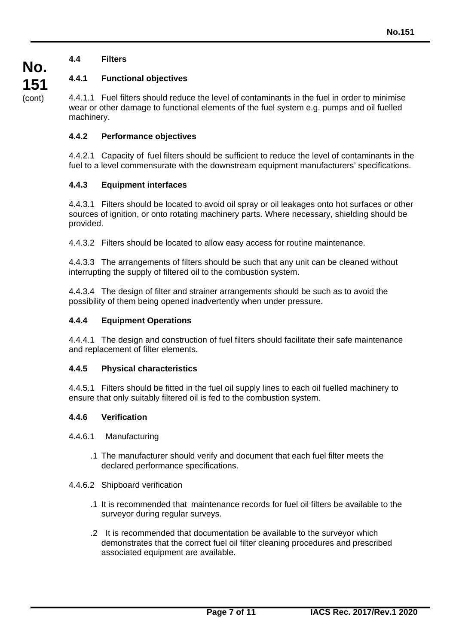# **4.4 Filters**

# **4.4.1 Functional objectives**

4.4.1.1 Fuel filters should reduce the level of contaminants in the fuel in order to minimise wear or other damage to functional elements of the fuel system e.g. pumps and oil fuelled machinery.

# **4.4.2 Performance objectives**

4.4.2.1 Capacity of fuel filters should be sufficient to reduce the level of contaminants in the fuel to a level commensurate with the downstream equipment manufacturers' specifications.

### **4.4.3 Equipment interfaces**

4.4.3.1 Filters should be located to avoid oil spray or oil leakages onto hot surfaces or other sources of ignition, or onto rotating machinery parts. Where necessary, shielding should be provided.

4.4.3.2 Filters should be located to allow easy access for routine maintenance.

4.4.3.3 The arrangements of filters should be such that any unit can be cleaned without interrupting the supply of filtered oil to the combustion system.

4.4.3.4 The design of filter and strainer arrangements should be such as to avoid the possibility of them being opened inadvertently when under pressure.

### **4.4.4 Equipment Operations**

4.4.4.1 The design and construction of fuel filters should facilitate their safe maintenance and replacement of filter elements.

#### **4.4.5 Physical characteristics**

4.4.5.1 Filters should be fitted in the fuel oil supply lines to each oil fuelled machinery to ensure that only suitably filtered oil is fed to the combustion system.

#### **4.4.6 Verification**

- 4.4.6.1 Manufacturing
	- .1 The manufacturer should verify and document that each fuel filter meets the declared performance specifications.
- 4.4.6.2 Shipboard verification
	- .1 It is recommended that maintenance records for fuel oil filters be available to the surveyor during regular surveys.
	- .2 It is recommended that documentation be available to the surveyor which demonstrates that the correct fuel oil filter cleaning procedures and prescribed associated equipment are available.

**No.**

**151** (cont)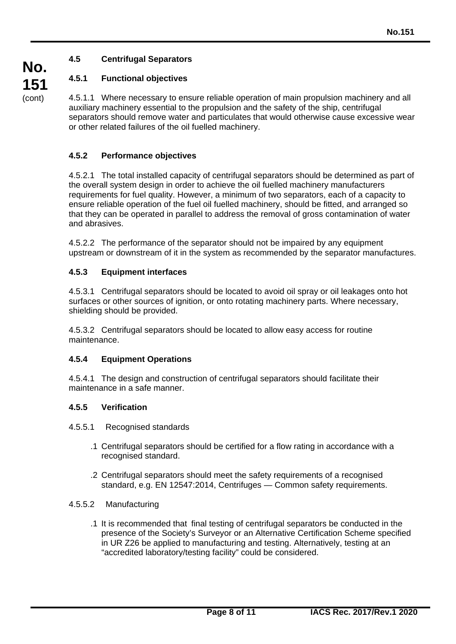# **4.5 Centrifugal Separators**

# **4.5.1 Functional objectives**

4.5.1.1 Where necessary to ensure reliable operation of main propulsion machinery and all auxiliary machinery essential to the propulsion and the safety of the ship, centrifugal separators should remove water and particulates that would otherwise cause excessive wear or other related failures of the oil fuelled machinery.

# **4.5.2 Performance objectives**

4.5.2.1 The total installed capacity of centrifugal separators should be determined as part of the overall system design in order to achieve the oil fuelled machinery manufacturers requirements for fuel quality. However, a minimum of two separators, each of a capacity to ensure reliable operation of the fuel oil fuelled machinery, should be fitted, and arranged so that they can be operated in parallel to address the removal of gross contamination of water and abrasives.

4.5.2.2 The performance of the separator should not be impaired by any equipment upstream or downstream of it in the system as recommended by the separator manufactures.

# **4.5.3 Equipment interfaces**

4.5.3.1 Centrifugal separators should be located to avoid oil spray or oil leakages onto hot surfaces or other sources of ignition, or onto rotating machinery parts. Where necessary, shielding should be provided.

4.5.3.2 Centrifugal separators should be located to allow easy access for routine maintenance.

# **4.5.4 Equipment Operations**

4.5.4.1 The design and construction of centrifugal separators should facilitate their maintenance in a safe manner.

# **4.5.5 Verification**

4.5.5.1 Recognised standards

- .1 Centrifugal separators should be certified for a flow rating in accordance with a recognised standard.
- .2 Centrifugal separators should meet the safety requirements of a recognised standard, e.g. EN 12547:2014, Centrifuges — Common safety requirements.

#### 4.5.5.2 Manufacturing

.1 It is recommended that final testing of centrifugal separators be conducted in the presence of the Society's Surveyor or an Alternative Certification Scheme specified in UR Z26 be applied to manufacturing and testing. Alternatively, testing at an "accredited laboratory/testing facility" could be considered.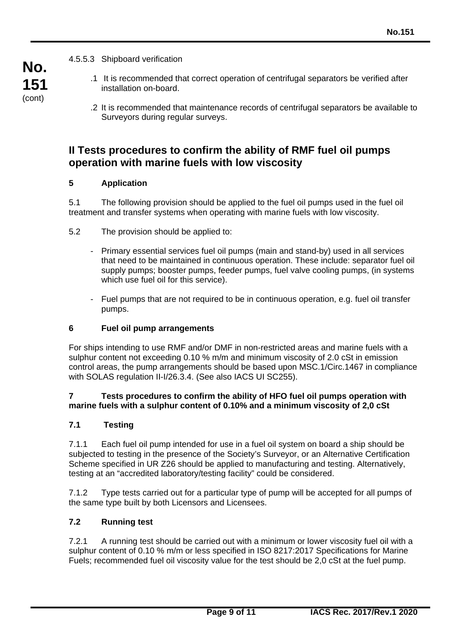**No. 151** (cont)

4.5.5.3 Shipboard verification

- .1 It is recommended that correct operation of centrifugal separators be verified after installation on-board.
- .2 It is recommended that maintenance records of centrifugal separators be available to Surveyors during regular surveys.

# **II Tests procedures to confirm the ability of RMF fuel oil pumps operation with marine fuels with low viscosity**

# **5 Application**

5.1 The following provision should be applied to the fuel oil pumps used in the fuel oil treatment and transfer systems when operating with marine fuels with low viscosity.

- 5.2 The provision should be applied to:
	- Primary essential services fuel oil pumps (main and stand-by) used in all services that need to be maintained in continuous operation. These include: separator fuel oil supply pumps; booster pumps, feeder pumps, fuel valve cooling pumps, (in systems which use fuel oil for this service).
	- Fuel pumps that are not required to be in continuous operation, e.g. fuel oil transfer pumps.

# **6 Fuel oil pump arrangements**

For ships intending to use RMF and/or DMF in non-restricted areas and marine fuels with a sulphur content not exceeding 0.10 % m/m and minimum viscosity of 2.0 cSt in emission control areas, the pump arrangements should be based upon MSC.1/Circ.1467 in compliance with SOLAS regulation II-I/26.3.4. (See also IACS UI SC255).

### **7 Tests procedures to confirm the ability of HFO fuel oil pumps operation with marine fuels with a sulphur content of 0.10% and a minimum viscosity of 2,0 cSt**

# **7.1 Testing**

7.1.1 Each fuel oil pump intended for use in a fuel oil system on board a ship should be subjected to testing in the presence of the Society's Surveyor, or an Alternative Certification Scheme specified in UR Z26 should be applied to manufacturing and testing. Alternatively, testing at an "accredited laboratory/testing facility" could be considered.

7.1.2 Type tests carried out for a particular type of pump will be accepted for all pumps of the same type built by both Licensors and Licensees.

# **7.2 Running test**

7.2.1 A running test should be carried out with a minimum or lower viscosity fuel oil with a sulphur content of 0.10 % m/m or less specified in ISO 8217:2017 Specifications for Marine Fuels; recommended fuel oil viscosity value for the test should be 2,0 cSt at the fuel pump.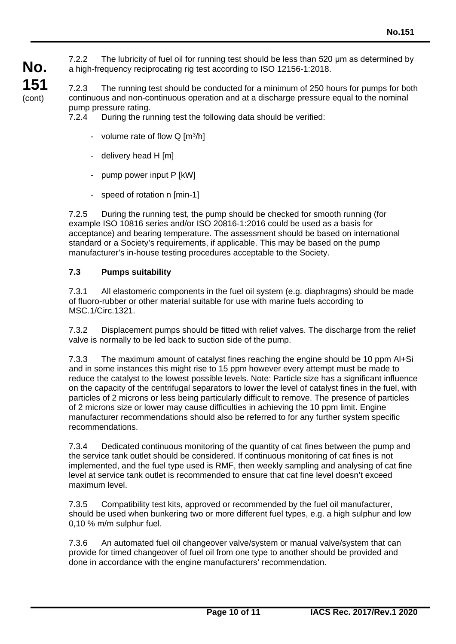7.2.2 The lubricity of fuel oil for running test should be less than 520 μm as determined by a high-frequency reciprocating rig test according to ISO 12156-1:2018.

7.2.3 The running test should be conducted for a minimum of 250 hours for pumps for both continuous and non-continuous operation and at a discharge pressure equal to the nominal pump pressure rating.

7.2.4 During the running test the following data should be verified:

- volume rate of flow  $Q \,[\mathrm{m}^3/\mathrm{h}]$
- delivery head H [m]

**No.**

**151** (cont)

- pump power input P [kW]
- speed of rotation n [min-1]

7.2.5 During the running test, the pump should be checked for smooth running (for example ISO 10816 series and/or ISO 20816-1:2016 could be used as a basis for acceptance) and bearing temperature. The assessment should be based on international standard or a Society's requirements, if applicable. This may be based on the pump manufacturer's in-house testing procedures acceptable to the Society.

# **7.3 Pumps suitability**

7.3.1 All elastomeric components in the fuel oil system (e.g. diaphragms) should be made of fluoro-rubber or other material suitable for use with marine fuels according to MSC.1/Circ.1321.

7.3.2 Displacement pumps should be fitted with relief valves. The discharge from the relief valve is normally to be led back to suction side of the pump.

7.3.3 The maximum amount of catalyst fines reaching the engine should be 10 ppm Al+Si and in some instances this might rise to 15 ppm however every attempt must be made to reduce the catalyst to the lowest possible levels. Note: Particle size has a significant influence on the capacity of the centrifugal separators to lower the level of catalyst fines in the fuel, with particles of 2 microns or less being particularly difficult to remove. The presence of particles of 2 microns size or lower may cause difficulties in achieving the 10 ppm limit. Engine manufacturer recommendations should also be referred to for any further system specific recommendations.

7.3.4 Dedicated continuous monitoring of the quantity of cat fines between the pump and the service tank outlet should be considered. If continuous monitoring of cat fines is not implemented, and the fuel type used is RMF, then weekly sampling and analysing of cat fine level at service tank outlet is recommended to ensure that cat fine level doesn't exceed maximum level.

7.3.5 Compatibility test kits, approved or recommended by the fuel oil manufacturer, should be used when bunkering two or more different fuel types, e.g. a high sulphur and low 0,10 % m/m sulphur fuel.

7.3.6 An automated fuel oil changeover valve/system or manual valve/system that can provide for timed changeover of fuel oil from one type to another should be provided and done in accordance with the engine manufacturers' recommendation.